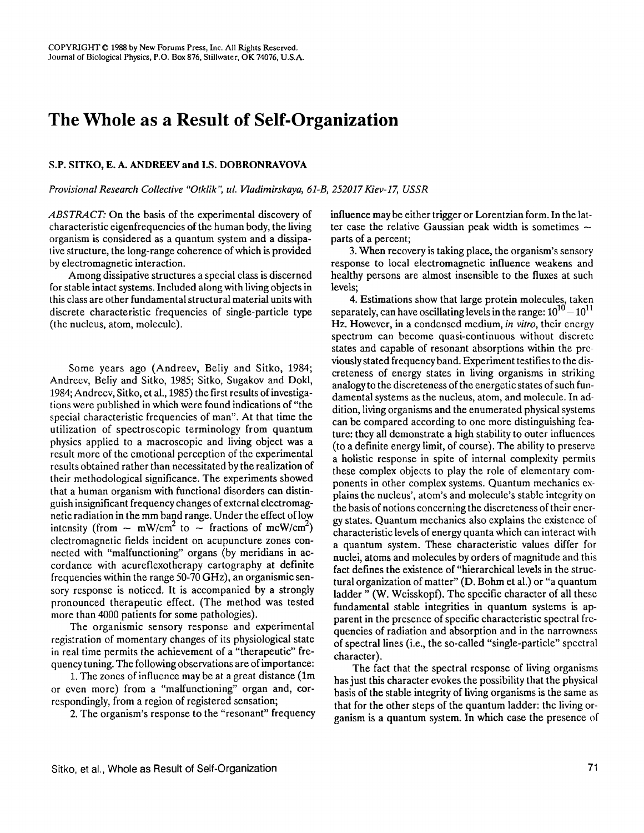## **The Whole as a Result of Self-Organization**

## **S.P. SITKO, E. A. ANDREEV and I.S. DOBRONRAVOVA**

*Provisional Research Collective "Otklik", uL Vladimirskaya, 61-B, 252017 Kiev-17, USSR* 

*ABSTRACT:* On the basis of the experimental discovery of characteristic eigenfrequencies of the human body, the living organism is considered as a quantum system and a dissipative structure, the long-range coherence of which is provided by electromagnetic interaction.

Among dissipative structures a special class is discerned for stable intact systems. Included along with living objects in this class are other fundamental structural material units with discrete characteristic frequencies of single-particle type (the nucleus, atom, molecule).

Some years ago (Andreev, Beliy and Sitko, 1984; Andreev, Belly and Sitko, 1985; Sitko, Sugakov and Dokl, 1984; Andrecv, Sitko, et al., 1985) the first results of investigations were published in which were found indications of "the special characteristic frequencies of man". At that time the utilization of spectroscopic terminology from quantum physics applied to a macroscopic and living object was a result more of the emotional perception of the experimental results obtained rather than necessitated by the realization of their methodological significance. The experiments showed that a human organism with functional disorders can distinguish insignificant frequency changes of external electromagnetic radiation in the mm band range. Under the effect of low intensity (from  $\sim$  mW/cm<sup>2</sup> to  $\sim$  fractions of mcW/cm<sup>2</sup>) clectromagnetic fields incident on acupuncture zones connected with "malfunctioning" organs (by meridians in accordance with acureflexotherapy cartography at definite frequencies within the range 50-70 GHz), an organismic sensory response is noticed. It is accompanied by a strongly pronounced therapeutic effect. (The method was tested more than 4000 patients for some pathologies).

The organismic sensory response and experimental registration of momentary changes of its physiological **state**  in real time permits the achievement of a "therapeutic" frequency tuning. The following observations are of importance:

1. The zones of influence may be at a great distance (lm or even more) from a "malfunctioning" organ and, correspondingly, from a region of registered sensation;

2. The organism's response to the "resonant" frequency

influence maybe either trigger or Lorentzian form. In the latter case the relative Gaussian peak width is sometimes  $\sim$ parts of a percent;

3. When recovery is taking place, the organism's sensory response to local electromagnetic influence weakens and healthy persons are almost insensible to the fluxes at such levels;

4. Estimations show that large protein molecules, taken separately, can have oscillating levels in the range:  $10^{10} - 10^{11}$ Hz. However, in a condensed medium, *in vitro,* their energy spectrum can become quasi-continuous without discrete states and capable of resonant absorptions within the prcviously stated frequency band. Experiment testifies to the discreteness of energy states in living organisms in striking analogy to the discreteness of the energetic states of such fundamental systems as the nucleus, atom, and molecule. In addition, living organisms and the enumerated physical systems can be compared according to one more distinguishing feature: they all demonstrate a high stability to outer influences (to a definite energy limit, of course). The ability to preserve a holistic response in spite of internal complexity permits these complex objects to play the role of elementary components in other complex systems. Quantum mechanics explains the nucleus', atom's and molecule's stable integrity on the basis of notions concerning the discreteness of their energy states. Quantum mechanics also explains the existence of characteristic levels of energy quanta which can interact with a quantum system. These characteristic values differ for nuclei, atoms and molecules by orders of magnitude and this fact defines the existence of "hierarchical levels in the structural organization of matter" (D. Bohm et al.) or "a quantum ladder" (W. Weisskopf). The specific character of all these fundamental stable integrities in quantum systems is apparent in the presence of specific characteristic spectral frequencies of radiation and absorption and in the narrowness of spectral lines (i.e., the so-called "single-particle" spectral character).

The fact that the spectral response of living organisms has just this character evokes the possibility that the physical basis of the stable integrity of living organisms is the same as that for the other steps of the quantum ladder: the living organism is a quantum system. In which case the presence of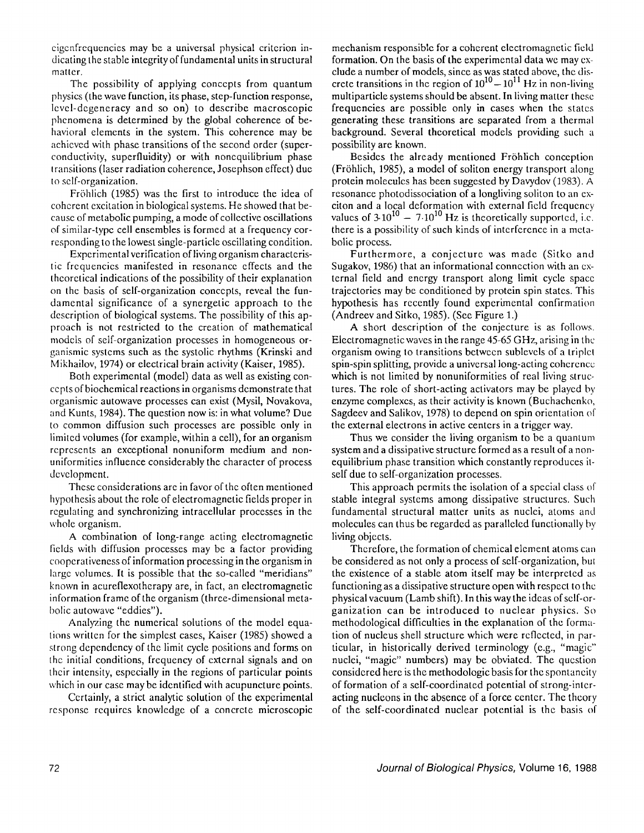cigcnfrequcncies may be a universal physical criterion indicating the stable integrity of fundamental units in structural matter.

The possibility of applying concepts from quantum physics (the wave function, its phase, step-function response, Icvcl-dcgeneracy and so on) to describe macroscopic phcnomena is determined by the global coherence of behavioral elements in the system. This coherence may be achieved with phase transitions of the second order (superconductivity, superfluidity) or with nonequilibrium phase transitions (laser radiation coherence, Josephson effect) due to self-organization.

Fr6hlich (1985) was the first to introduce the idea of coherent excitation in biological systems. He showed that because of metabolic pumping, a mode of collective oscillations of similar-type cell ensembles is formed at a frequency corresponding to the lowest single-particle oscillating condition.

Experimental verification of living organism characteristic frequencies manifested in resonance effects and the thcorctical indications of the possibility of their explanation on thc basis of self-organization concepts, reveal the fundamental significance of a synergetic approach to the description of biological systems. The possibility of this approach is not restricted to the creation of mathematical models of self-organization processes in homogeneous organismic systcms such as the systolic rhythms (Krinski and Mikhailov, 1974) or electrical brain activity (Kaiser, 1985).

Both experimental (model) data as well as existing concepts of biochemical reactions in organisms demonstrate that organismic autowave processes can exist (Mysil, Novakova, and Kunts, 1984). The question now is: in what volume? Due to common diffusion such processes are possible only in limited volumes (for example, within a cell), for an organism represents an exceptional nonuniform medium and nonuniformities influence considerably the character of process development.

These considerations are in favor of the often mentioned hypothesis about the role of electromagnetic fields proper in regulating and synchronizing intracellular processes in the whole organism.

A combination of long-range acting electromagnetic fields with diffusion processes may be a factor providing cooperativeness of information processing in the organism in large volumes. It is possible that the so-called "meridians" known in acureflexotherapy are, in fact, an electromagnetic information frame of the organism (three-dimensional metabolic autowave "eddies").

Analyzing the numerical solutions of the model equalions written for the simplest cases, Kaiser (1985) showed a strong dependency of the limit cycle positions and forms on thc initial conditions, frequency of external signals and on thcir intensity, especially in the regions of particular points which in our case may be identified with acupuncture points.

Certainly, a strict analytic solution of the experimental response requires knowledge of a concrete microscopic mechanism responsible for a coherent electromagnetic field formation. On the basis of the experimental data we may exclude a number of models, since as was stated above, the discrete transitions in the region of  $10^{10} - 10^{11}$  Hz in non-living multiparticle systems should be absent. In living matter thcsc frequencies are possible only in cases when the statcs generating these transitions are separated from a thermal background. Several theoretical models providing such a possibility are known.

Besides the already mentioned Fröhlich conception (Fr6hlich, 1985), a model of soliton energy transport along protein molecules has been suggested by Davydov (1983). A resonance photodissociation of a longliving soliton to an exciton and a local deformation with external field frequency values of  $3.10^{10} - 7.10^{10}$  Hz is theoretically supported, i.e. there is a possibility of such kinds of interference in a metabolic process.

Furthermore, a conjecture was made (Sitko and Sugakov, 1986) that an informational connection with an external field and energy transport along limit cycle space trajectories may be conditioned by protein spin states. This hypothesis has recently found experimental confirmation (Andreev and Sitko, 1985). (See Figure 1.)

A short description of the conjecture is as follows. Electromagnetic waves in the range 45-65 GHz, arising in the organism owing to transitions between sublevels of a triplet spin-spin splitting, provide a universal long-acting coherence which is not limited by nonuniformities of real living structures. The role of short-acting activators may be played by enzyme complexcs, as their activity is known (Buchachenko, Sagdeev and Salikov, 1978) to depend on spin orientation of the external electrons in active centers in a trigger way.

Thus we consider the living organism to be a quantum system and a dissipative structure formed as a result of a nonequilibrium phase transition which constantly reproduces itself due to self-organization processes.

This approach permits the isolation of a special class of stable integral systems among dissipative structures. Such fundamental structural matter units as nuclei, atoms and molecules can thus be regarded as paralleled functionally by living objects.

Therefore, the formation of chemical element atoms can be considered as not only a process of self-organization, but the existence of a stable atom itself may be interpreted as functioning as a dissipative structure open with respect to the physical vacuum (Lamb shift). In this way the ideas of self-organization can be introduced to nuclear physics. So methodological difficulties in the explanation of the formation of nucleus shell structure which were reflected, in particular, in historically derived terminology (e.g., "magic" nuclei, "magic" numbers) may be obviated. The question considered here is the methodologic basis for the spontancity of formation of a self-coordinated potential of strong-interacting nucleons in the absence of a force center. The theory of the self-coordinated nuclear potential is the basis of